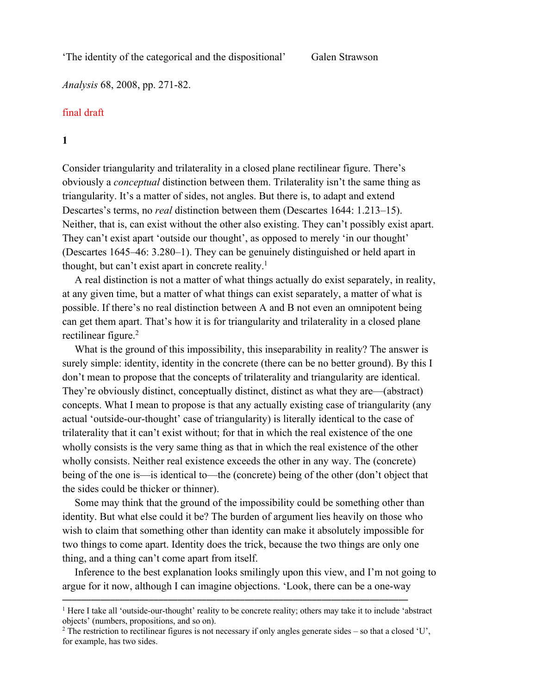'The identity of the categorical and the dispositional'

*Analysis* 68, 2008, pp. 271-82.

## final draft

**1**

Consider triangularity and trilaterality in a closed plane rectilinear figure. There's obviously a *conceptual* distinction between them. Trilaterality isn't the same thing as triangularity. It's a matter of sides, not angles. But there is, to adapt and extend Descartes's terms, no *real* distinction between them (Descartes 1644: 1.213–15). Neither, that is, can exist without the other also existing. They can't possibly exist apart. They can't exist apart 'outside our thought', as opposed to merely 'in our thought' (Descartes 1645–46: 3.280–1). They can be genuinely distinguished or held apart in thought, but can't exist apart in concrete reality. 1

A real distinction is not a matter of what things actually do exist separately, in reality, at any given time, but a matter of what things can exist separately, a matter of what is possible. If there's no real distinction between A and B not even an omnipotent being can get them apart. That's how it is for triangularity and trilaterality in a closed plane rectilinear figure.<sup>2</sup>

What is the ground of this impossibility, this inseparability in reality? The answer is surely simple: identity, identity in the concrete (there can be no better ground). By this I don't mean to propose that the concepts of trilaterality and triangularity are identical. They're obviously distinct, conceptually distinct, distinct as what they are—(abstract) concepts. What I mean to propose is that any actually existing case of triangularity (any actual 'outside-our-thought' case of triangularity) is literally identical to the case of trilaterality that it can't exist without; for that in which the real existence of the one wholly consists is the very same thing as that in which the real existence of the other wholly consists. Neither real existence exceeds the other in any way. The (concrete) being of the one is—is identical to—the (concrete) being of the other (don't object that the sides could be thicker or thinner).

Some may think that the ground of the impossibility could be something other than identity. But what else could it be? The burden of argument lies heavily on those who wish to claim that something other than identity can make it absolutely impossible for two things to come apart. Identity does the trick, because the two things are only one thing, and a thing can't come apart from itself.

Inference to the best explanation looks smilingly upon this view, and I'm not going to argue for it now, although I can imagine objections. 'Look, there can be a one-way

<sup>&</sup>lt;sup>1</sup> Here I take all 'outside-our-thought' reality to be concrete reality; others may take it to include 'abstract' objects' (numbers, propositions, and so on).

<sup>&</sup>lt;sup>2</sup> The restriction to rectilinear figures is not necessary if only angles generate sides – so that a closed 'U', for example, has two sides.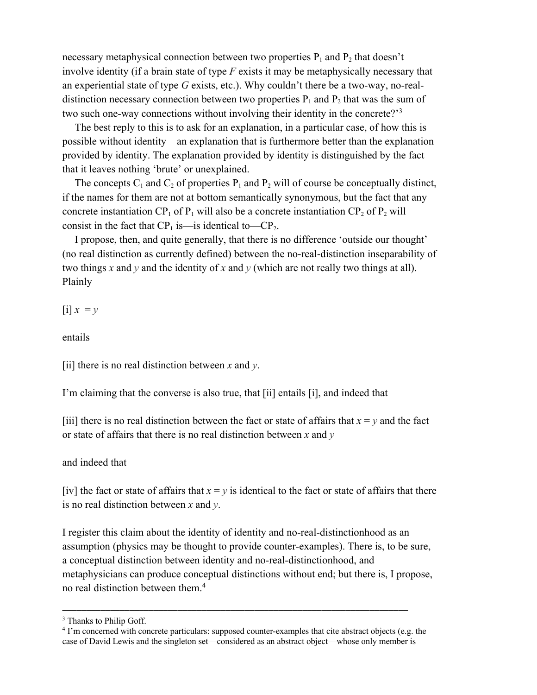necessary metaphysical connection between two properties  $P_1$  and  $P_2$  that doesn't involve identity (if a brain state of type *F* exists it may be metaphysically necessary that an experiential state of type *G* exists, etc.). Why couldn't there be a two-way, no-realdistinction necessary connection between two properties  $P_1$  and  $P_2$  that was the sum of two such one-way connections without involving their identity in the concrete?<sup>3</sup>

The best reply to this is to ask for an explanation, in a particular case, of how this is possible without identity—an explanation that is furthermore better than the explanation provided by identity. The explanation provided by identity is distinguished by the fact that it leaves nothing 'brute' or unexplained.

The concepts  $C_1$  and  $C_2$  of properties  $P_1$  and  $P_2$  will of course be conceptually distinct, if the names for them are not at bottom semantically synonymous, but the fact that any concrete instantiation  $CP_1$  of  $P_1$  will also be a concrete instantiation  $CP_2$  of  $P_2$  will consist in the fact that  $CP_1$  is—is identical to— $CP_2$ .

I propose, then, and quite generally, that there is no difference 'outside our thought' (no real distinction as currently defined) between the no-real-distinction inseparability of two things *x* and *y* and the identity of *x* and *y* (which are not really two things at all). Plainly

 $[i]$   $x = y$ 

entails

[ii] there is no real distinction between *x* and *y*.

I'm claiming that the converse is also true, that [ii] entails [i], and indeed that

[iii] there is no real distinction between the fact or state of affairs that  $x = y$  and the fact or state of affairs that there is no real distinction between *x* and *y*

and indeed that

[iv] the fact or state of affairs that  $x = y$  is identical to the fact or state of affairs that there is no real distinction between *x* and *y*.

I register this claim about the identity of identity and no-real-distinctionhood as an assumption (physics may be thought to provide counter-examples). There is, to be sure, a conceptual distinction between identity and no-real-distinctionhood, and metaphysicians can produce conceptual distinctions without end; but there is, I propose, no real distinction between them.4

<sup>&</sup>lt;sup>3</sup> Thanks to Philip Goff.

<sup>4</sup> I'm concerned with concrete particulars: supposed counter-examples that cite abstract objects (e.g. the case of David Lewis and the singleton set—considered as an abstract object—whose only member is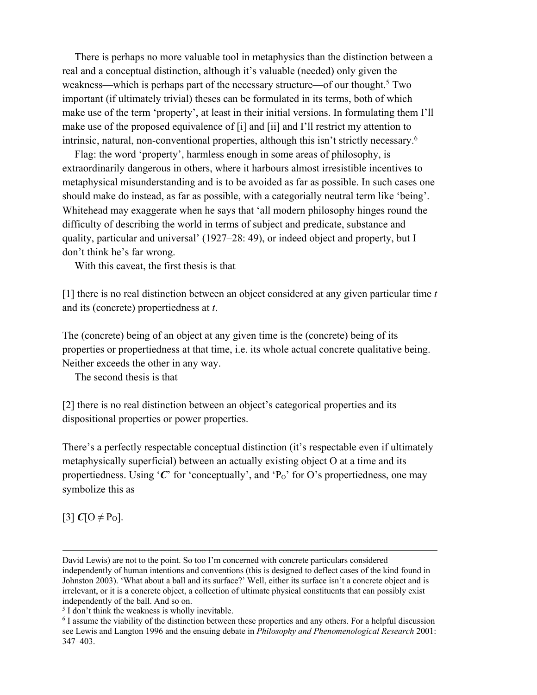There is perhaps no more valuable tool in metaphysics than the distinction between a real and a conceptual distinction, although it's valuable (needed) only given the weakness—which is perhaps part of the necessary structure—of our thought.<sup>5</sup> Two important (if ultimately trivial) theses can be formulated in its terms, both of which make use of the term 'property', at least in their initial versions. In formulating them I'll make use of the proposed equivalence of [i] and [ii] and I'll restrict my attention to intrinsic, natural, non-conventional properties, although this isn't strictly necessary.<sup>6</sup>

Flag: the word 'property', harmless enough in some areas of philosophy, is extraordinarily dangerous in others, where it harbours almost irresistible incentives to metaphysical misunderstanding and is to be avoided as far as possible. In such cases one should make do instead, as far as possible, with a categorially neutral term like 'being'. Whitehead may exaggerate when he says that 'all modern philosophy hinges round the difficulty of describing the world in terms of subject and predicate, substance and quality, particular and universal' (1927–28: 49), or indeed object and property, but I don't think he's far wrong.

With this caveat, the first thesis is that

[1] there is no real distinction between an object considered at any given particular time *t*  and its (concrete) propertiedness at *t*.

The (concrete) being of an object at any given time is the (concrete) being of its properties or propertiedness at that time, i.e. its whole actual concrete qualitative being. Neither exceeds the other in any way.

The second thesis is that

[2] there is no real distinction between an object's categorical properties and its dispositional properties or power properties.

There's a perfectly respectable conceptual distinction (it's respectable even if ultimately metaphysically superficial) between an actually existing object O at a time and its propertiedness. Using  $\mathcal C$  for 'conceptually', and  $P_0$ ' for O's propertiedness, one may symbolize this as

 $[3]$  *C*[O  $\neq$  P<sub>O</sub>].

David Lewis) are not to the point. So too I'm concerned with concrete particulars considered independently of human intentions and conventions (this is designed to deflect cases of the kind found in Johnston 2003). 'What about a ball and its surface?' Well, either its surface isn't a concrete object and is irrelevant, or it is a concrete object, a collection of ultimate physical constituents that can possibly exist independently of the ball. And so on.

<sup>5</sup> I don't think the weakness is wholly inevitable.

<sup>6</sup> I assume the viability of the distinction between these properties and any others. For a helpful discussion see Lewis and Langton 1996 and the ensuing debate in *Philosophy and Phenomenological Research* 2001: 347–403.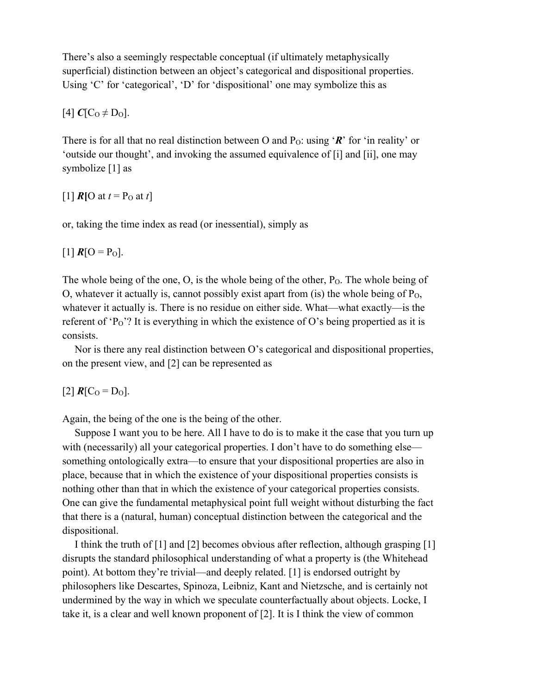There's also a seemingly respectable conceptual (if ultimately metaphysically superficial) distinction between an object's categorical and dispositional properties. Using 'C' for 'categorical', 'D' for 'dispositional' one may symbolize this as

 $[4] C[C_0 \neq D_0].$ 

There is for all that no real distinction between O and  $P_0$ : using '*R*' for 'in reality' or 'outside our thought', and invoking the assumed equivalence of [i] and [ii], one may symbolize [1] as

 $[1]$  *R* $[0$  at  $t = P_0$  at  $t]$ 

or, taking the time index as read (or inessential), simply as

 $[1]$   $R$ [O = P<sub>O</sub>].

The whole being of the one, O, is the whole being of the other, P<sub>O</sub>. The whole being of O, whatever it actually is, cannot possibly exist apart from (is) the whole being of  $P_0$ , whatever it actually is. There is no residue on either side. What—what exactly—is the referent of 'P<sub>O</sub>'? It is everything in which the existence of O's being propertied as it is consists.

Nor is there any real distinction between O's categorical and dispositional properties, on the present view, and [2] can be represented as

 $[2]$   $R[C_0 = D_0]$ .

Again, the being of the one is the being of the other.

Suppose I want you to be here. All I have to do is to make it the case that you turn up with (necessarily) all your categorical properties. I don't have to do something else something ontologically extra—to ensure that your dispositional properties are also in place, because that in which the existence of your dispositional properties consists is nothing other than that in which the existence of your categorical properties consists. One can give the fundamental metaphysical point full weight without disturbing the fact that there is a (natural, human) conceptual distinction between the categorical and the dispositional.

I think the truth of [1] and [2] becomes obvious after reflection, although grasping [1] disrupts the standard philosophical understanding of what a property is (the Whitehead point). At bottom they're trivial—and deeply related. [1] is endorsed outright by philosophers like Descartes, Spinoza, Leibniz, Kant and Nietzsche, and is certainly not undermined by the way in which we speculate counterfactually about objects. Locke, I take it, is a clear and well known proponent of [2]. It is I think the view of common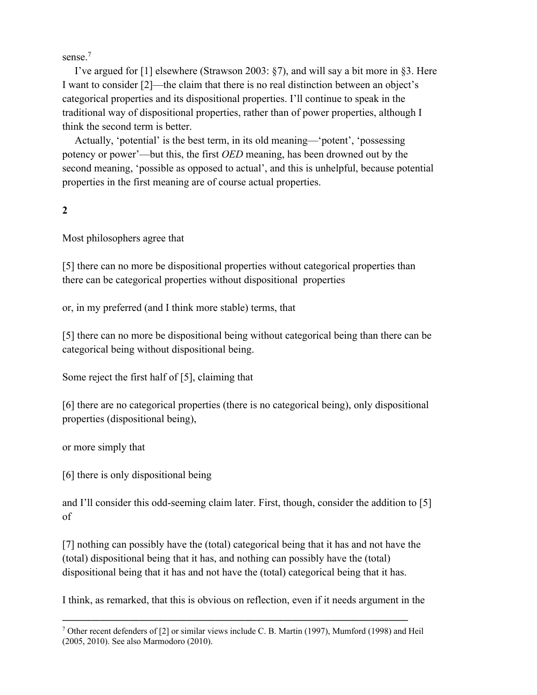sense.<sup>7</sup>

I've argued for [1] elsewhere (Strawson 2003: §7), and will say a bit more in §3. Here I want to consider [2]—the claim that there is no real distinction between an object's categorical properties and its dispositional properties. I'll continue to speak in the traditional way of dispositional properties, rather than of power properties, although I think the second term is better.

Actually, 'potential' is the best term, in its old meaning—'potent', 'possessing potency or power'—but this, the first *OED* meaning, has been drowned out by the second meaning, 'possible as opposed to actual', and this is unhelpful, because potential properties in the first meaning are of course actual properties.

## **2**

Most philosophers agree that

[5] there can no more be dispositional properties without categorical properties than there can be categorical properties without dispositional properties

or, in my preferred (and I think more stable) terms, that

[5] there can no more be dispositional being without categorical being than there can be categorical being without dispositional being.

Some reject the first half of [5], claiming that

[6] there are no categorical properties (there is no categorical being), only dispositional properties (dispositional being),

or more simply that

[6] there is only dispositional being

and I'll consider this odd-seeming claim later. First, though, consider the addition to [5] of

[7] nothing can possibly have the (total) categorical being that it has and not have the (total) dispositional being that it has, and nothing can possibly have the (total) dispositional being that it has and not have the (total) categorical being that it has.

I think, as remarked, that this is obvious on reflection, even if it needs argument in the

 $7$  Other recent defenders of [2] or similar views include C. B. Martin (1997), Mumford (1998) and Heil (2005, 2010). See also Marmodoro (2010).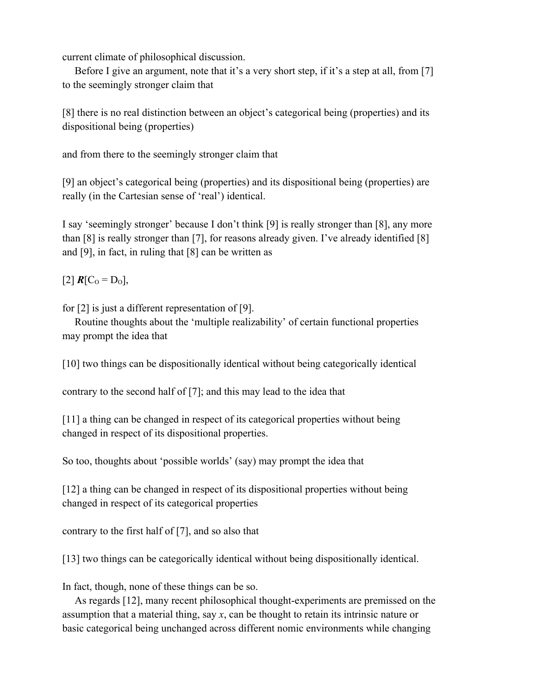current climate of philosophical discussion.

Before I give an argument, note that it's a very short step, if it's a step at all, from [7] to the seemingly stronger claim that

[8] there is no real distinction between an object's categorical being (properties) and its dispositional being (properties)

and from there to the seemingly stronger claim that

[9] an object's categorical being (properties) and its dispositional being (properties) are really (in the Cartesian sense of 'real') identical.

I say 'seemingly stronger' because I don't think [9] is really stronger than [8], any more than [8] is really stronger than [7], for reasons already given. I've already identified [8] and [9], in fact, in ruling that [8] can be written as

 $[2]$   $R[C_0 = D_0],$ 

for [2] is just a different representation of [9].

Routine thoughts about the 'multiple realizability' of certain functional properties may prompt the idea that

[10] two things can be dispositionally identical without being categorically identical

contrary to the second half of [7]; and this may lead to the idea that

[11] a thing can be changed in respect of its categorical properties without being changed in respect of its dispositional properties.

So too, thoughts about 'possible worlds' (say) may prompt the idea that

[12] a thing can be changed in respect of its dispositional properties without being changed in respect of its categorical properties

contrary to the first half of [7], and so also that

[13] two things can be categorically identical without being dispositionally identical.

In fact, though, none of these things can be so.

As regards [12], many recent philosophical thought-experiments are premissed on the assumption that a material thing, say *x*, can be thought to retain its intrinsic nature or basic categorical being unchanged across different nomic environments while changing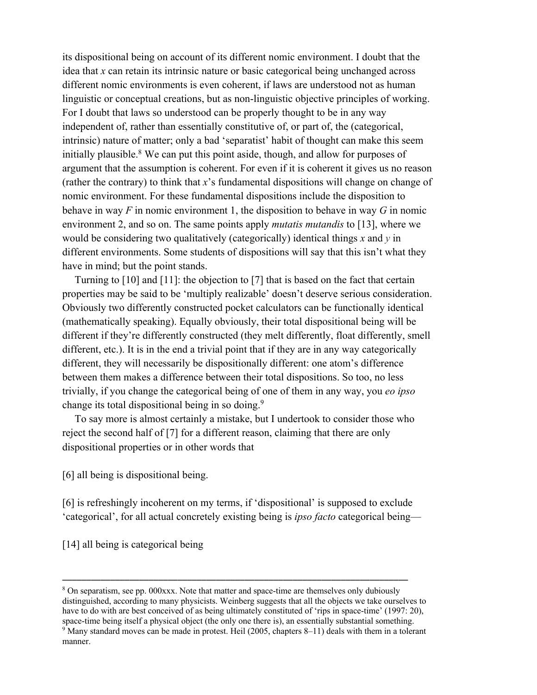its dispositional being on account of its different nomic environment. I doubt that the idea that *x* can retain its intrinsic nature or basic categorical being unchanged across different nomic environments is even coherent, if laws are understood not as human linguistic or conceptual creations, but as non-linguistic objective principles of working. For I doubt that laws so understood can be properly thought to be in any way independent of, rather than essentially constitutive of, or part of, the (categorical, intrinsic) nature of matter; only a bad 'separatist' habit of thought can make this seem initially plausible.<sup>8</sup> We can put this point aside, though, and allow for purposes of argument that the assumption is coherent. For even if it is coherent it gives us no reason (rather the contrary) to think that *x*'s fundamental dispositions will change on change of nomic environment. For these fundamental dispositions include the disposition to behave in way *F* in nomic environment 1, the disposition to behave in way *G* in nomic environment 2, and so on. The same points apply *mutatis mutandis* to [13], where we would be considering two qualitatively (categorically) identical things *x* and *y* in different environments. Some students of dispositions will say that this isn't what they have in mind; but the point stands.

Turning to [10] and [11]: the objection to [7] that is based on the fact that certain properties may be said to be 'multiply realizable' doesn't deserve serious consideration. Obviously two differently constructed pocket calculators can be functionally identical (mathematically speaking). Equally obviously, their total dispositional being will be different if they're differently constructed (they melt differently, float differently, smell different, etc.). It is in the end a trivial point that if they are in any way categorically different, they will necessarily be dispositionally different: one atom's difference between them makes a difference between their total dispositions. So too, no less trivially, if you change the categorical being of one of them in any way, you *eo ipso*  change its total dispositional being in so doing.9

To say more is almost certainly a mistake, but I undertook to consider those who reject the second half of [7] for a different reason, claiming that there are only dispositional properties or in other words that

[6] all being is dispositional being.

[6] is refreshingly incoherent on my terms, if 'dispositional' is supposed to exclude 'categorical', for all actual concretely existing being is *ipso facto* categorical being—

[14] all being is categorical being

<sup>&</sup>lt;sup>8</sup> On separatism, see pp. 000xxx. Note that matter and space-time are themselves only dubiously distinguished, according to many physicists. Weinberg suggests that all the objects we take ourselves to have to do with are best conceived of as being ultimately constituted of 'rips in space-time' (1997: 20), space-time being itself a physical object (the only one there is), an essentially substantial something.

<sup>&</sup>lt;sup>9</sup> Many standard moves can be made in protest. Heil (2005, chapters 8–11) deals with them in a tolerant manner.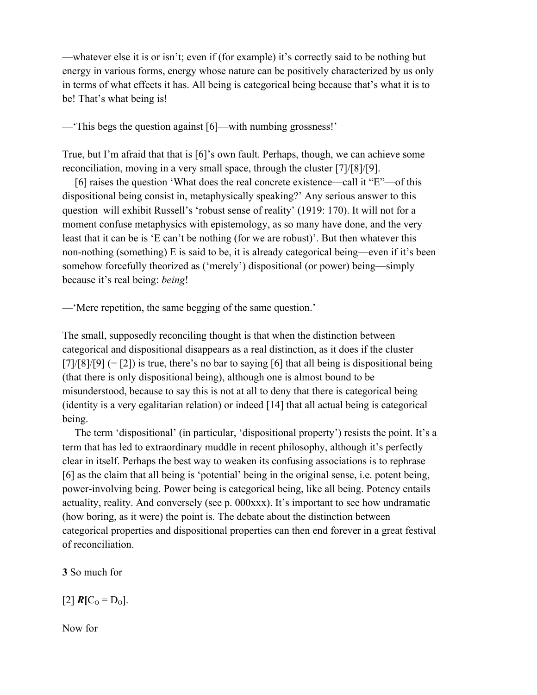—whatever else it is or isn't; even if (for example) it's correctly said to be nothing but energy in various forms, energy whose nature can be positively characterized by us only in terms of what effects it has. All being is categorical being because that's what it is to be! That's what being is!

—'This begs the question against [6]—with numbing grossness!'

True, but I'm afraid that that is [6]'s own fault. Perhaps, though, we can achieve some reconciliation, moving in a very small space, through the cluster [7]/[8]/[9].

[6] raises the question 'What does the real concrete existence—call it "E"—of this dispositional being consist in, metaphysically speaking?' Any serious answer to this question will exhibit Russell's 'robust sense of reality' (1919: 170). It will not for a moment confuse metaphysics with epistemology, as so many have done, and the very least that it can be is 'E can't be nothing (for we are robust)'. But then whatever this non-nothing (something) E is said to be, it is already categorical being—even if it's been somehow forcefully theorized as ('merely') dispositional (or power) being—simply because it's real being: *being*!

—'Mere repetition, the same begging of the same question.'

The small, supposedly reconciling thought is that when the distinction between categorical and dispositional disappears as a real distinction, as it does if the cluster  $[7]/[8]/[9] (= [2])$  is true, there's no bar to saying [6] that all being is dispositional being (that there is only dispositional being), although one is almost bound to be misunderstood, because to say this is not at all to deny that there is categorical being (identity is a very egalitarian relation) or indeed [14] that all actual being is categorical being.

The term 'dispositional' (in particular, 'dispositional property') resists the point. It's a term that has led to extraordinary muddle in recent philosophy, although it's perfectly clear in itself. Perhaps the best way to weaken its confusing associations is to rephrase [6] as the claim that all being is 'potential' being in the original sense, i.e. potent being, power-involving being. Power being is categorical being, like all being. Potency entails actuality, reality. And conversely (see p. 000xxx). It's important to see how undramatic (how boring, as it were) the point is. The debate about the distinction between categorical properties and dispositional properties can then end forever in a great festival of reconciliation.

**3** So much for

 $[2]$   $R[C_0 = D_0].$ 

Now for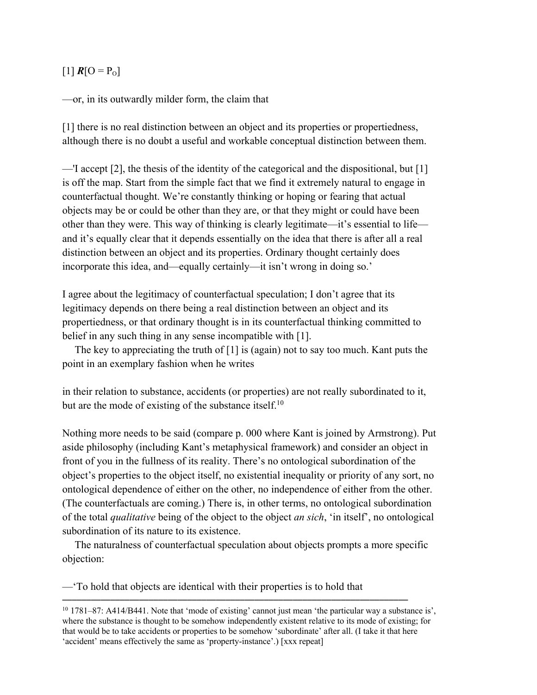## $[1]$   $R[O = P_0]$

—or, in its outwardly milder form, the claim that

[1] there is no real distinction between an object and its properties or propertiedness, although there is no doubt a useful and workable conceptual distinction between them.

—'I accept [2], the thesis of the identity of the categorical and the dispositional, but [1] is off the map. Start from the simple fact that we find it extremely natural to engage in counterfactual thought. We're constantly thinking or hoping or fearing that actual objects may be or could be other than they are, or that they might or could have been other than they were. This way of thinking is clearly legitimate—it's essential to life and it's equally clear that it depends essentially on the idea that there is after all a real distinction between an object and its properties. Ordinary thought certainly does incorporate this idea, and—equally certainly—it isn't wrong in doing so.'

I agree about the legitimacy of counterfactual speculation; I don't agree that its legitimacy depends on there being a real distinction between an object and its propertiedness, or that ordinary thought is in its counterfactual thinking committed to belief in any such thing in any sense incompatible with [1].

The key to appreciating the truth of [1] is (again) not to say too much. Kant puts the point in an exemplary fashion when he writes

in their relation to substance, accidents (or properties) are not really subordinated to it, but are the mode of existing of the substance itself.<sup>10</sup>

Nothing more needs to be said (compare p. 000 where Kant is joined by Armstrong). Put aside philosophy (including Kant's metaphysical framework) and consider an object in front of you in the fullness of its reality. There's no ontological subordination of the object's properties to the object itself, no existential inequality or priority of any sort, no ontological dependence of either on the other, no independence of either from the other. (The counterfactuals are coming.) There is, in other terms, no ontological subordination of the total *qualitative* being of the object to the object *an sich*, 'in itself', no ontological subordination of its nature to its existence.

The naturalness of counterfactual speculation about objects prompts a more specific objection:

—'To hold that objects are identical with their properties is to hold that

<sup>&</sup>lt;sup>10</sup> 1781–87: A414/B441. Note that 'mode of existing' cannot just mean 'the particular way a substance is', where the substance is thought to be somehow independently existent relative to its mode of existing; for that would be to take accidents or properties to be somehow 'subordinate' after all. (I take it that here 'accident' means effectively the same as 'property-instance'.) [xxx repeat]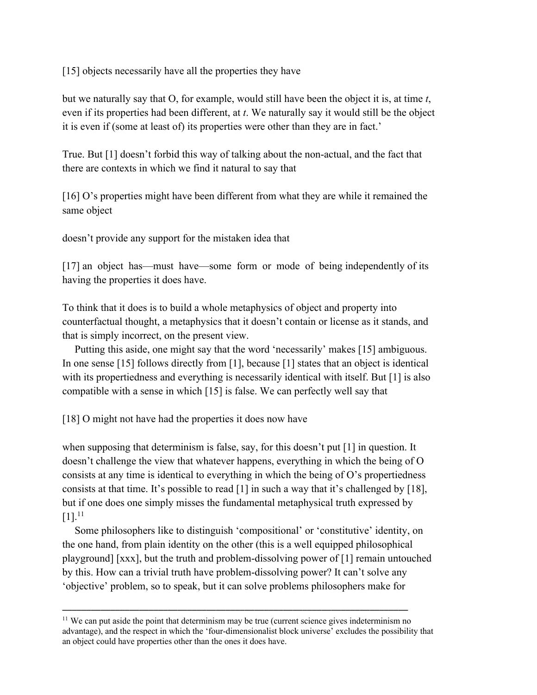[15] objects necessarily have all the properties they have

but we naturally say that O, for example, would still have been the object it is, at time *t*, even if its properties had been different, at *t*. We naturally say it would still be the object it is even if (some at least of) its properties were other than they are in fact.'

True. But [1] doesn't forbid this way of talking about the non-actual, and the fact that there are contexts in which we find it natural to say that

[16] O's properties might have been different from what they are while it remained the same object

doesn't provide any support for the mistaken idea that

[17] an object has—must have—some form or mode of being independently of its having the properties it does have.

To think that it does is to build a whole metaphysics of object and property into counterfactual thought, a metaphysics that it doesn't contain or license as it stands, and that is simply incorrect, on the present view.

Putting this aside, one might say that the word 'necessarily' makes [15] ambiguous. In one sense [15] follows directly from [1], because [1] states that an object is identical with its propertiedness and everything is necessarily identical with itself. But [1] is also compatible with a sense in which [15] is false. We can perfectly well say that

[18] O might not have had the properties it does now have

when supposing that determinism is false, say, for this doesn't put [1] in question. It doesn't challenge the view that whatever happens, everything in which the being of O consists at any time is identical to everything in which the being of O's propertiedness consists at that time. It's possible to read [1] in such a way that it's challenged by [18], but if one does one simply misses the fundamental metaphysical truth expressed by  $[1].^{11}$ 

Some philosophers like to distinguish 'compositional' or 'constitutive' identity, on the one hand, from plain identity on the other (this is a well equipped philosophical playground] [xxx], but the truth and problem-dissolving power of [1] remain untouched by this. How can a trivial truth have problem-dissolving power? It can't solve any 'objective' problem, so to speak, but it can solve problems philosophers make for

<sup>&</sup>lt;sup>11</sup> We can put aside the point that determinism may be true (current science gives indeterminism no advantage), and the respect in which the 'four-dimensionalist block universe' excludes the possibility that an object could have properties other than the ones it does have.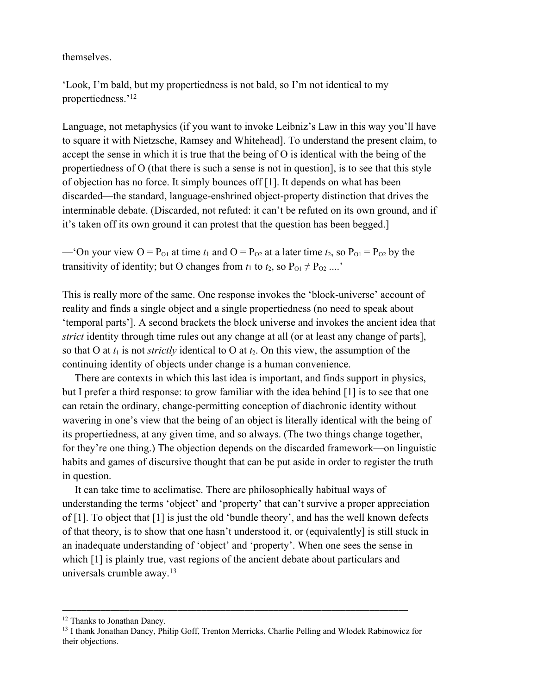themselves.

'Look, I'm bald, but my propertiedness is not bald, so I'm not identical to my propertiedness.'12

Language, not metaphysics (if you want to invoke Leibniz's Law in this way you'll have to square it with Nietzsche, Ramsey and Whitehead]. To understand the present claim, to accept the sense in which it is true that the being of O is identical with the being of the propertiedness of O (that there is such a sense is not in question], is to see that this style of objection has no force. It simply bounces off [1]. It depends on what has been discarded—the standard, language-enshrined object-property distinction that drives the interminable debate. (Discarded, not refuted: it can't be refuted on its own ground, and if it's taken off its own ground it can protest that the question has been begged.]

—'On your view  $O = P_{01}$  at time  $t_1$  and  $O = P_{02}$  at a later time  $t_2$ , so  $P_{01} = P_{02}$  by the transitivity of identity; but O changes from  $t_1$  to  $t_2$ , so  $P_{01} \neq P_{02}$  ....'

This is really more of the same. One response invokes the 'block-universe' account of reality and finds a single object and a single propertiedness (no need to speak about 'temporal parts']. A second brackets the block universe and invokes the ancient idea that *strict* identity through time rules out any change at all (or at least any change of parts], so that O at  $t_1$  is not *strictly* identical to O at  $t_2$ . On this view, the assumption of the continuing identity of objects under change is a human convenience.

There are contexts in which this last idea is important, and finds support in physics, but I prefer a third response: to grow familiar with the idea behind [1] is to see that one can retain the ordinary, change-permitting conception of diachronic identity without wavering in one's view that the being of an object is literally identical with the being of its propertiedness, at any given time, and so always. (The two things change together, for they're one thing.) The objection depends on the discarded framework—on linguistic habits and games of discursive thought that can be put aside in order to register the truth in question.

It can take time to acclimatise. There are philosophically habitual ways of understanding the terms 'object' and 'property' that can't survive a proper appreciation of [1]. To object that [1] is just the old 'bundle theory', and has the well known defects of that theory, is to show that one hasn't understood it, or (equivalently] is still stuck in an inadequate understanding of 'object' and 'property'. When one sees the sense in which [1] is plainly true, vast regions of the ancient debate about particulars and universals crumble away.<sup>13</sup>

<sup>&</sup>lt;sup>12</sup> Thanks to Jonathan Dancy.

<sup>&</sup>lt;sup>13</sup> I thank Jonathan Dancy, Philip Goff, Trenton Merricks, Charlie Pelling and Wlodek Rabinowicz for their objections.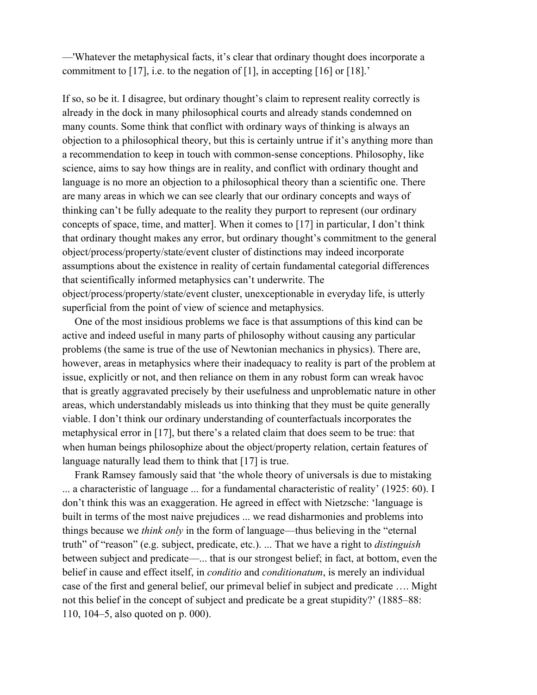—'Whatever the metaphysical facts, it's clear that ordinary thought does incorporate a commitment to [17], i.e. to the negation of [1], in accepting [16] or [18].'

If so, so be it. I disagree, but ordinary thought's claim to represent reality correctly is already in the dock in many philosophical courts and already stands condemned on many counts. Some think that conflict with ordinary ways of thinking is always an objection to a philosophical theory, but this is certainly untrue if it's anything more than a recommendation to keep in touch with common-sense conceptions. Philosophy, like science, aims to say how things are in reality, and conflict with ordinary thought and language is no more an objection to a philosophical theory than a scientific one. There are many areas in which we can see clearly that our ordinary concepts and ways of thinking can't be fully adequate to the reality they purport to represent (our ordinary concepts of space, time, and matter]. When it comes to [17] in particular, I don't think that ordinary thought makes any error, but ordinary thought's commitment to the general object/process/property/state/event cluster of distinctions may indeed incorporate assumptions about the existence in reality of certain fundamental categorial differences that scientifically informed metaphysics can't underwrite. The object/process/property/state/event cluster, unexceptionable in everyday life, is utterly superficial from the point of view of science and metaphysics.

One of the most insidious problems we face is that assumptions of this kind can be active and indeed useful in many parts of philosophy without causing any particular problems (the same is true of the use of Newtonian mechanics in physics). There are, however, areas in metaphysics where their inadequacy to reality is part of the problem at issue, explicitly or not, and then reliance on them in any robust form can wreak havoc that is greatly aggravated precisely by their usefulness and unproblematic nature in other areas, which understandably misleads us into thinking that they must be quite generally viable. I don't think our ordinary understanding of counterfactuals incorporates the metaphysical error in [17], but there's a related claim that does seem to be true: that when human beings philosophize about the object/property relation, certain features of language naturally lead them to think that [17] is true.

Frank Ramsey famously said that 'the whole theory of universals is due to mistaking ... a characteristic of language ... for a fundamental characteristic of reality' (1925: 60). I don't think this was an exaggeration. He agreed in effect with Nietzsche: 'language is built in terms of the most naive prejudices ... we read disharmonies and problems into things because we *think only* in the form of language—thus believing in the "eternal truth" of "reason" (e.g. subject, predicate, etc.). ... That we have a right to *distinguish*  between subject and predicate—... that is our strongest belief; in fact, at bottom, even the belief in cause and effect itself, in *conditio* and *conditionatum*, is merely an individual case of the first and general belief, our primeval belief in subject and predicate …. Might not this belief in the concept of subject and predicate be a great stupidity?' (1885–88: 110, 104–5, also quoted on p. 000).